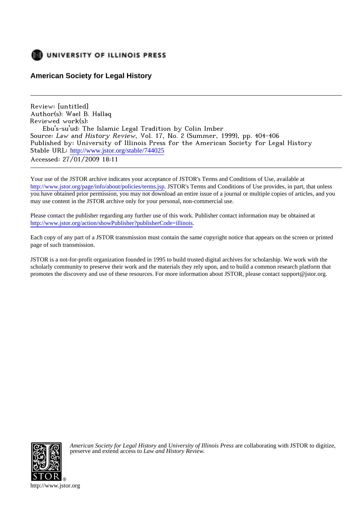

## **American Society for Legal History**

Review: [untitled] Author(s): Wael B. Hallaq Reviewed work(s): Ebu's-su'ud: The Islamic Legal Tradition by Colin Imber Source: Law and History Review, Vol. 17, No. 2 (Summer, 1999), pp. 404-406 Published by: University of Illinois Press for the American Society for Legal History Stable URL: [http://www.jstor.org/stable/744025](http://www.jstor.org/stable/744025?origin=JSTOR-pdf) Accessed: 27/01/2009 18:11

Your use of the JSTOR archive indicates your acceptance of JSTOR's Terms and Conditions of Use, available at <http://www.jstor.org/page/info/about/policies/terms.jsp>. JSTOR's Terms and Conditions of Use provides, in part, that unless you have obtained prior permission, you may not download an entire issue of a journal or multiple copies of articles, and you may use content in the JSTOR archive only for your personal, non-commercial use.

Please contact the publisher regarding any further use of this work. Publisher contact information may be obtained at [http://www.jstor.org/action/showPublisher?publisherCode=illinois.](http://www.jstor.org/action/showPublisher?publisherCode=illinois)

Each copy of any part of a JSTOR transmission must contain the same copyright notice that appears on the screen or printed page of such transmission.

JSTOR is a not-for-profit organization founded in 1995 to build trusted digital archives for scholarship. We work with the scholarly community to preserve their work and the materials they rely upon, and to build a common research platform that promotes the discovery and use of these resources. For more information about JSTOR, please contact support@jstor.org.



*American Society for Legal History* and *University of Illinois Press* are collaborating with JSTOR to digitize, preserve and extend access to *Law and History Review.*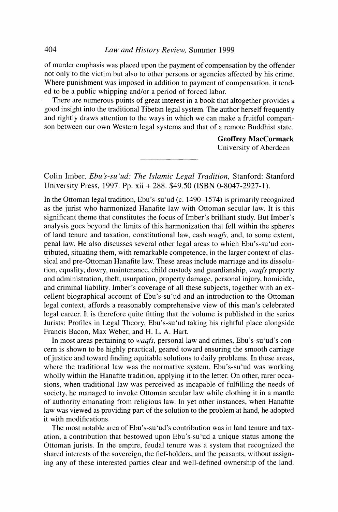**of murder emphasis was placed upon the payment of compensation by the offender not only to the victim but also to other persons or agencies affected by his crime. Where punishment was imposed in addition to payment of compensation, it tended to be a public whipping and/or a period of forced labor.** 

**There are numerous points of great interest in a book that altogether provides a good insight into the traditional Tibetan legal system. The author herself frequently and rightly draws attention to the ways in which we can make a fruitful comparison between our own Western legal systems and that of a remote Buddhist state.** 

> **Geoffrey MacCormack University of Aberdeen**

**Colin Imber, Ebu 's-su'ud: The Islamic Legal Tradition, Stanford: Stanford University Press, 1997. Pp. xii + 288. \$49.50 (ISBN 0-8047-2927-1).** 

**In the Ottoman legal tradition, Ebu's-su'ud (c. 1490-1574) is primarily recognized as the jurist who harmonized Hanafite law with Ottoman secular law. It is this significant theme that constitutes the focus of Imber's brilliant study. But Imber's analysis goes beyond the limits of this harmonization that fell within the spheres of land tenure and taxation, constitutional law, cash waqfs, and, to some extent, penal law. He also discusses several other legal areas to which Ebu's-su'ud contributed, situating them, with remarkable competence, in the larger context of classical and pre-Ottoman Hanafite law. These areas include marriage and its dissolution, equality, dowry, maintenance, child custody and guardianship, waqfs property and administration, theft, usurpation, property damage, personal injury, homicide, and criminal liability. Imber's coverage of all these subjects, together with an excellent biographical account of Ebu's-su'ud and an introduction to the Ottoman legal context, affords a reasonably comprehensive view of this man's celebrated legal career. It is therefore quite fitting that the volume is published in the series Jurists: Profiles in Legal Theory, Ebu's-su'ud taking his rightful place alongside Francis Bacon, Max Weber, and H. L. A. Hart.** 

**In most areas pertaining to waqfs, personal law and crimes, Ebu's-su'ud's concern is shown to be highly practical, geared toward ensuring the smooth carriage of justice and toward finding equitable solutions to daily problems. In these areas, where the traditional law was the normative system, Ebu's-su'ud was working wholly within the Hanafite tradition, applying it to the letter. On other, rarer occasions, when traditional law was perceived as incapable of fulfilling the needs of society, he managed to invoke Ottoman secular law while clothing it in a mantle of authority emanating from religious law. In yet other instances, when Hanafite law was viewed as providing part of the solution to the problem at hand, he adopted it with modifications.** 

**The most notable area of Ebu's-su'ud's contribution was in land tenure and taxation, a contribution that bestowed upon Ebu's-su'ud a unique status among the Ottoman jurists. In the empire, feudal tenure was a system that recognized the shared interests of the sovereign, the fief-holders, and the peasants, without assigning any of these interested parties clear and well-defined ownership of the land.** 

**404**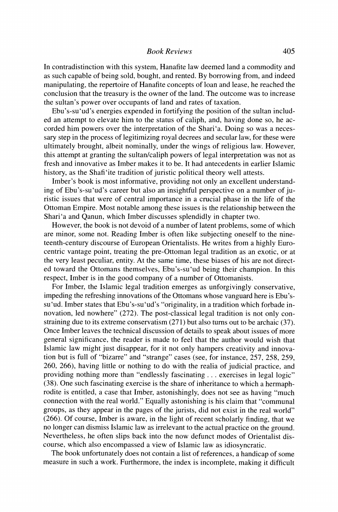**In contradistinction with this system, Hanafite law deemed land a commodity and as such capable of being sold, bought, and rented. By borrowing from, and indeed manipulating, the repertoire of Hanafite concepts of loan and lease, he reached the conclusion that the treasury is the owner of the land. The outcome was to increase the sultan's power over occupants of land and rates of taxation.** 

**Ebu's-su'ud's energies expended in fortifying the position of the sultan included an attempt to elevate him to the status of caliph, and, having done so, he accorded him powers over the interpretation of the Shari'a. Doing so was a necessary step in the process of legitimizing royal decrees and secular law, for these were ultimately brought, albeit nominally, under the wings of religious law. However, this attempt at granting the sultan/caliph powers of legal interpretation was not as fresh and innovative as Imber makes it to be. It had antecedents in earlier Islamic history, as the Shafi'ite tradition of juristic political theory well attests.** 

**Imber's book is most informative, providing not only an excellent understanding of Ebu's-su'ud's career but also an insightful perspective on a number of juristic issues that were of central importance in a crucial phase in the life of the Ottoman Empire. Most notable among these issues is the relationship between the Shari'a and Qanun, which Imber discusses splendidly in chapter two.** 

**However, the book is not devoid of a number of latent problems, some of which are minor, some not. Reading Imber is often like subjecting oneself to the nineteenth-century discourse of European Orientalists. He writes from a highly Eurocentric vantage point, treating the pre-Ottoman legal tradition as an exotic, or at the very least peculiar, entity. At the same time, these biases of his are not directed toward the Ottomans themselves, Ebu's-su'ud being their champion. In this respect, Imber is in the good company of a number of Ottomanists.** 

**For Imber, the Islamic legal tradition emerges as unforgivingly conservative, impeding the refreshing innovations of the Ottomans whose vanguard here is Ebu'ssu'ud. Imber states that Ebu's-su'ud's "originality, in a tradition which forbade innovation, led nowhere" (272). The post-classical legal tradition is not only constraining due to its extreme conservatism (271) but also tums out to be archaic (37). Once Imber leaves the technical discussion of details to speak about issues of more general significance, the reader is made to feel that the author would wish that Islamic law might just disappear, for it not only hampers creativity and innovation but is full of "bizarre" and "strange" cases (see, for instance, 257, 258, 259, 260, 266), having little or nothing to do with the realia of judicial practice, and providing nothing more than "endlessly fascinating . .. exercises in legal logic" (38). One such fascinating exercise is the share of inheritance to which a hermaphrodite is entitled, a case that Imber, astonishingly, does not see as having "much connection with the real world." Equally astonishing is his claim that "communal groups, as they appear in the pages of the jurists, did not exist in the real world" (266). Of course, Imber is aware, in the light of recent scholarly finding, that we no longer can dismiss Islamic law as irrelevant to the actual practice on the ground. Nevertheless, he often slips back into the now defunct modes of Orientalist discourse, which also encompassed a view of Islamic law as idiosyncratic.** 

**The book unfortunately does not contain a list of references, a handicap of some measure in such a work. Furthermore, the index is incomplete, making it difficult**